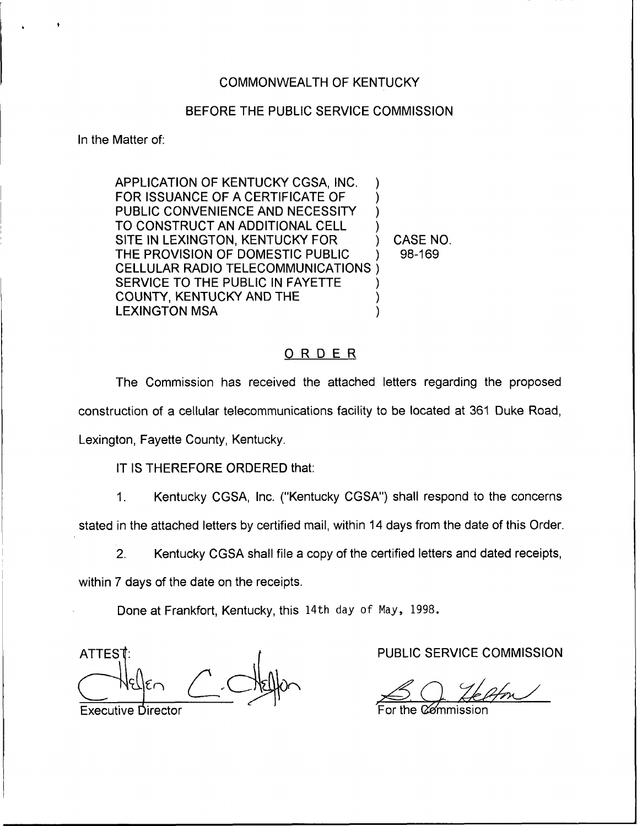### COMMONWEALTH OF KENTUCKY

### BEFORE THE PUBLIC SERVICE COMMISSION

In the Matter of:

APPLICATION OF KENTUCKY CGSA, INC. FOR ISSUANCE OF A CERTIFICATE OF PUBLIC CONVENIENCE AND NECESSITY TO CONSTRUCT AN ADDITIONAL CELL SITE IN LEXINGTON, KENTUCKY FOR THE PROVISION OF DOMESTIC PUBLIC CELLULAR RADIO TELECOMMUNICATIONS ) SERVICE TO THE PUBLIC IN FAYETTE COUNTY, KENTUCKY AND THE LEXINGTON MSA ) ) ) ) ) ) )

) CASE NO. ) 98-169

### ORDER

The Commission has received the attached letters regarding the proposed construction of a cellular telecommunications facility to be located at 361 Duke Road, Lexington, Fayette County, Kentucky.

IT IS THEREFORE ORDERED that:

 $1<sub>1</sub>$ Kentucky CGSA, Inc. ("Kentucky CGSA") shall respond to the concerns

stated in the attached letters by certified mail, within 14 days from the date of this Order.

2. Kentucky CGSA shall file a copy of the certified letters and dated receipts,

within 7 days of the date on the receipts.

Done at Frankfort, Kentucky, this 14th day of May, 1998.

ATTEST:  $\uparrow$   $\uparrow$  PUBLIC SERVICE COMMISSION Executive Director **For the Commission** For the Commission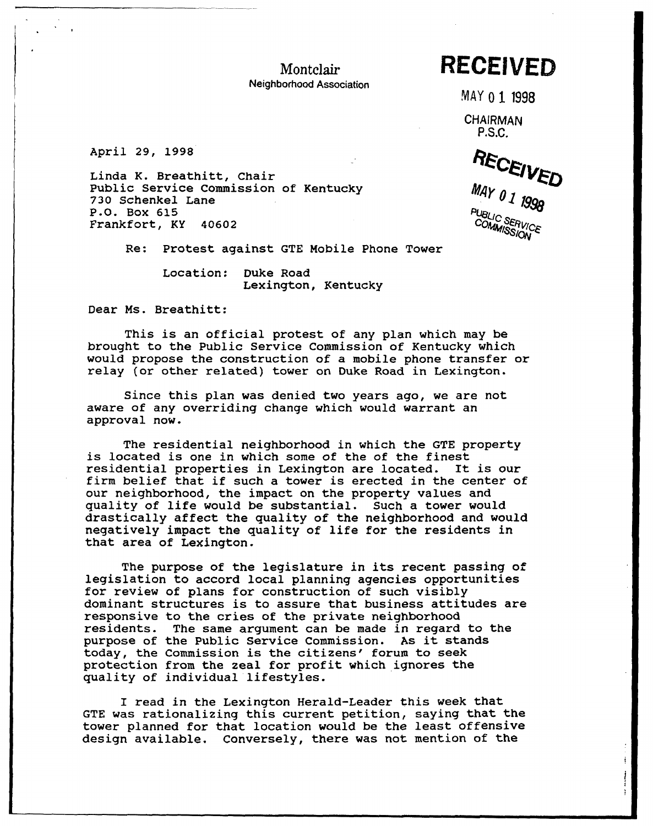Montelair

Neighborhood Association

# RECEIVED

MAY 0 1 1998

**CHAIRMAN** P.S.C.

April 29, 199S

Linda K. Breathitt, Chair Public Service Commission of Kentucky 730 Schenkel Lane P.O. Box 615 Frankfort, KY 40602

Re: Protest against GTE Mobile Phone Tower

Location: Duke Road Lexington, Kentucky

Dear Ms. Breathitt:

This is an official protest of any plan which may be brought to the Public Service Commission of Kentucky which would propose the construction of a mobile phone transfer or relay (or other related) tower on Duke Road in Lexington.

Since this plan was denied two years ago, we are not aware of any overriding change which would warrant an approval now.

The residential neighborhood in which the GTE property is located is one in which some of the of the finest residential properties in Lexington are located. It is our firm belief that if such <sup>a</sup> tower is erected in the center of our neighborhood, the impact on the property values and quality of life would be substantial. Such a tower would drastically affect the quality of the neighborhood and would negatively impact the quality of life for the residents in that, area of Lexington.

The purpose of the legislature in its recent passing of legislation to accord local planning agencies opportunities for review of plans for construction of such visibly dominant structures is to assure that. business attitudes are responsive to the cries of the private neighborhood residents. The same argument can be made in regard to the purpose of the Public Service Commission. As it stands today, the Commission is the citizens' forum to seek protection from the zeal for profit which ignores the quality of individual lifestyles.

I read in the Lexington Herald-Leader this week that GTE was rationalizing this current petition, saying that the tower planned for that location would be the least offensive design available. Conversely, there was not mention of the

RECEIVED COMMISSION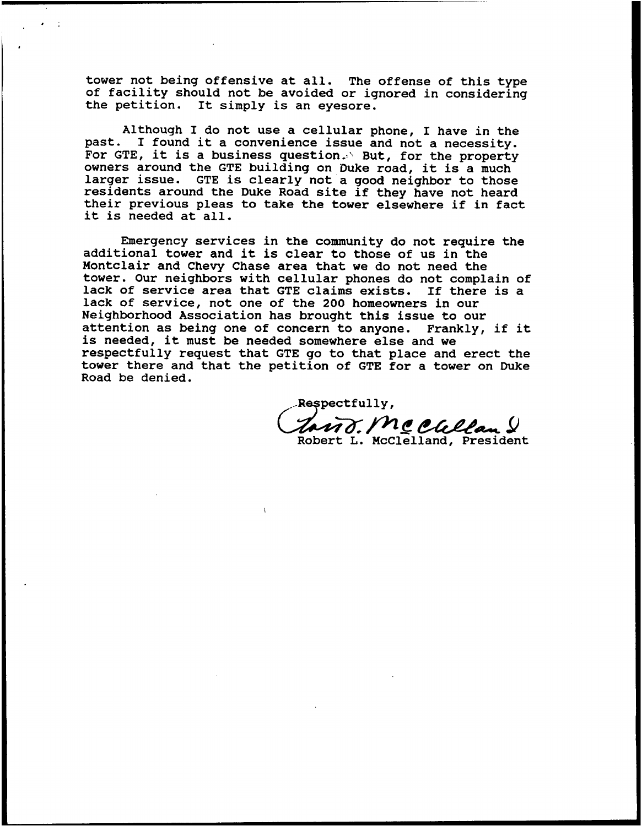tower not being offensive at all. The offense of this type of facility should not be avoided or ignored in considering the petition. It simply is an eyesore.

Although I do not use a cellular phone, I have in the past. I found it <sup>a</sup> convenience issue and not <sup>a</sup> necessity. For GTE, it is a business question. But, for the property owners around the GTE building on Duke road, it is a much larger issue. GTE is clearly not a good neighbor to those<br>residents around the Duke Road site if they have not heard<br>their previous pleas to take the tower elsewhere if in fact<br>it is needed at all.

Emergency services in the community do not require the additional tower and it is clear to those of us in the Montclair and Chevy Chase area that we do not need the tower. Our neighbors with cellular phones do not complain of lack of service area that GTE claims exists. If there is a lack of service, not one of the 200 homeowners in our Neighborhood Association has brought this issue to our attention as being one of concern to anyone. Frankly, if it is needed, it must be needed somewhere else and we respectfully request that GTE go to that place and erect the tower there and that the petition of GTE for a tower on Duke Road be denied.

Respectfully,

 $\eta\delta$ . Mc Chelan  $\mathcal G$ Robert L. McClelland, President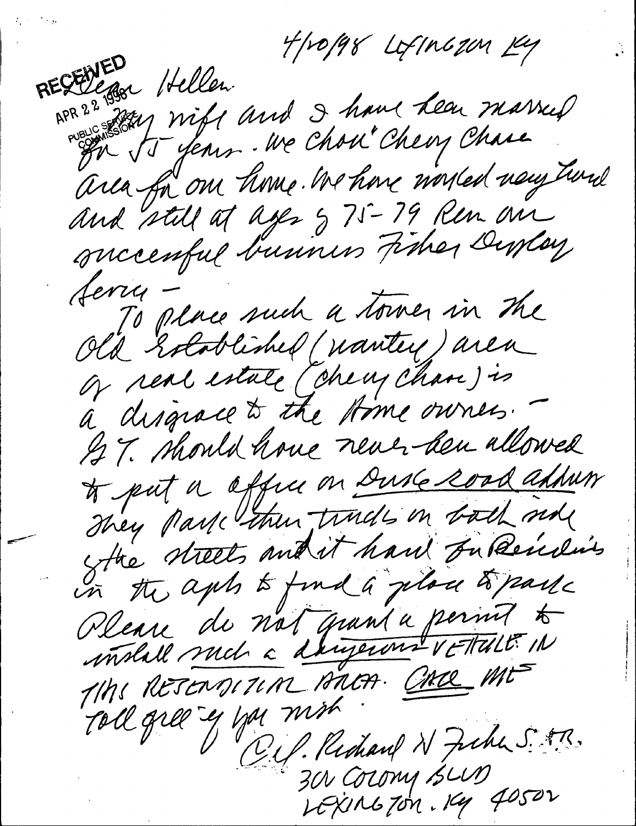$7f$ popy LofIngzon Ky RESEDERA Hellen<br>RPR 22 Jay Wift and I have hear married area for our time. We have worsed very twide succenful business Fisher Duslay<br>ferry -<br>Old Established (nantey) area Jerry To place such a towner in the of real estate (check chave) is à disgrace to the stome owners. une den allowed<br>Duske sood and<br>ade in bodh med<br>hand Jubende way voice in dit hand In Reins<br>In the apts to find a place to part in the apts to find a place to parte u de nat quand angeron<br>Ancor Composition din<br>n Bh GACRE ME  $711$ Toll gree y you mich  $\sqrt{ }$ ب<br>نا 300 COLOMY 15LUD<br>LEXING TON, 199 40502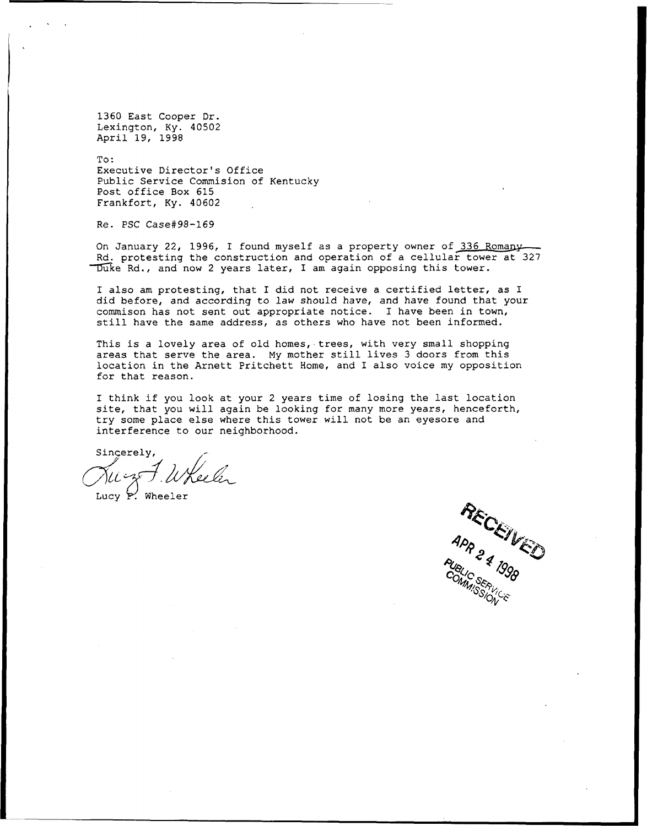1360 East Cooper Dr. Lexington, Ky. 40502 April 19, 1998

To: Executive Director's Office Public Service Commision of Kentucky Post office Box 615 Frankfort, Ky. 40602

Re. PSC Case#98-169

On January 22, 1996, I found myself as a property owner of 336 Romany Rd. protesting the construction and operation of a cellular tower at 327 Duke Rd., and now 2 years later, I am again opposing this tower.

I also am protesting, that I did not receive a certified letter, as I did before, and according to law should have, and have found that your commison has not sent out appropriate notice. I have been in town, still have the same address, as others who have not been informed.

This is a lovely area of old homes, trees, with very small shopping areas that serve the area. My mother still lives <sup>3</sup> doors from this location in the Arnett Pritchett Home, and I also voice my opposition for that reason.

I think if you look at your 2 years time of losing the last location site, that you will again be looking for many more years, henceforth try some place else where this tower will not be an eyesore and interference to our neighborhoo

Sincerely, کړن نړې

Lucy  $P'$ . Wheeler

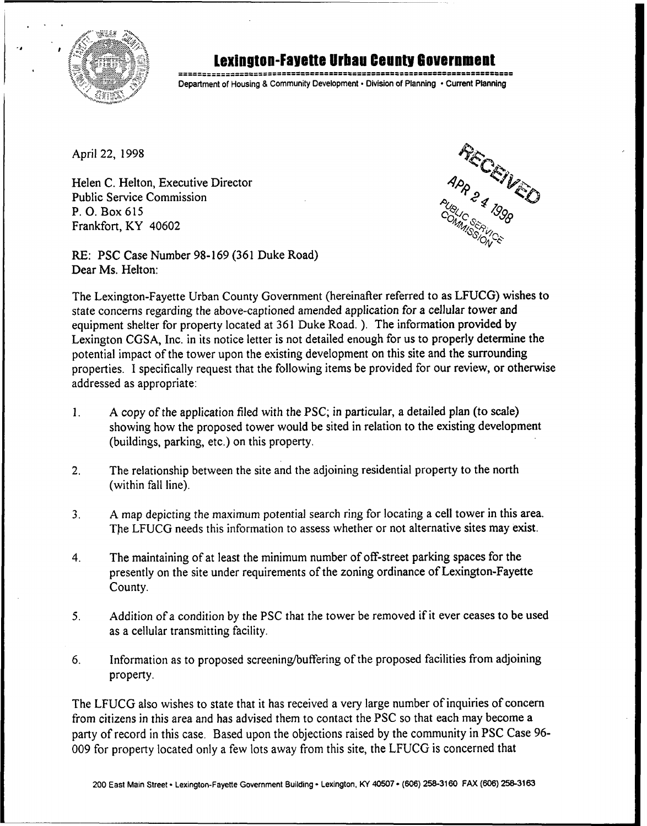

## Loxinlton-Fayetto llrban County louornmont

Department of Housing & Community Development · Division of Planning · Current Planning

April 22, 1998

Helen C. Helton, Executive Director Public Service Commission P. 0, Box 615 Frankfort, KY 40602

RECEIVED

RE: PSC Case Number 98-169 (361 Duke Road) Dear Ms. Helton:

The Lexington-Fayette Urban County Government (hereinafter referred to as LFUCG) wishes to state concerns regarding the above-captioned amended application for a cellular tower and equipment shelter for property located at 361 Duke Road. ). The information provided by Lexington CGSA, Inc. in its notice letter is not detailed enough for us to properly determine the potential impact of the tower upon the existing development on this site and the surrounding properties. I specifically request that the following items be provided for our review, or otherwise addressed as appropriate:

- l. A copy ofthe application filed with the PSC; in particular, a detailed plan (to scale) showing how the proposed tower would be sited in relation to the existing development (buildings, parking, etc.) on this property.
- 2. The relationship between the site and the adjoining residential property to the north (within fall line).
- 3. A map depicting the maximum potential search ring for locating a cell tower in this area. The LFUCG needs this information to assess whether or not alternative sites may exist.
- 4. The maintaining of at least the minimum number of off-street parking spaces for the presently on the site under requirements of the zoning ordinance of Lexington-Fayette County.
- 5. Addition of a condition by the PSC that the tower be removed if it ever ceases to be used as a cellular transmitting facility.
- 6. Information as to proposed screening/buffering ofthe proposed facilities from adjoining property.

The LFUCG also wishes to state that it has received a very large number of inquiries of concern from citizens in this area and has advised them to contact the PSC so that each may become a party of record in this case. Based upon the objections raised by the community in PSC Case 96- 009 for property located only a few lots away from this site, the LFUCG is concerned that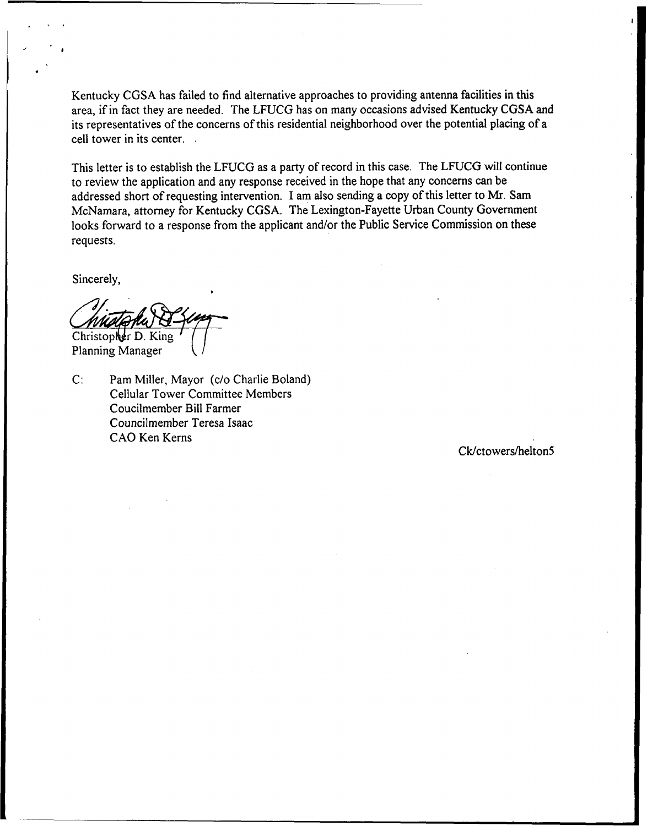Kentucky CGSA has failed to find alternative approaches to providing antenna facilities in this area, if in fact they are needed. The LFUCG has on many occasions advised Kentucky CGSA and its representatives of the concerns of this residential neighborhood over the potential placing of a cell tower in its center.

This letter is to establish the LFUCG as a party of record in this case. The LFUCG will continue to review the application and any response received in the hope that any concerns can be addressed short of requesting intervention. I am also sending a copy of this letter to Mr. Sam McNamara, attorney for Kentucky CGSA, The Lexington-Fayette Urban County Government looks forward to a response from the applicant and/or the Public Service Commission on these requests.

Sincerely,

Christopher D. King

Planning Manager

 $C<sub>i</sub>$ Pam Miller, Mayor (c/o Charlie Boland) Cellular Tower Committee Members Coucilmember Bill Farmer Councilmember Teresa Isaac CAO Ken Kerns

Ck/ctowers/helton5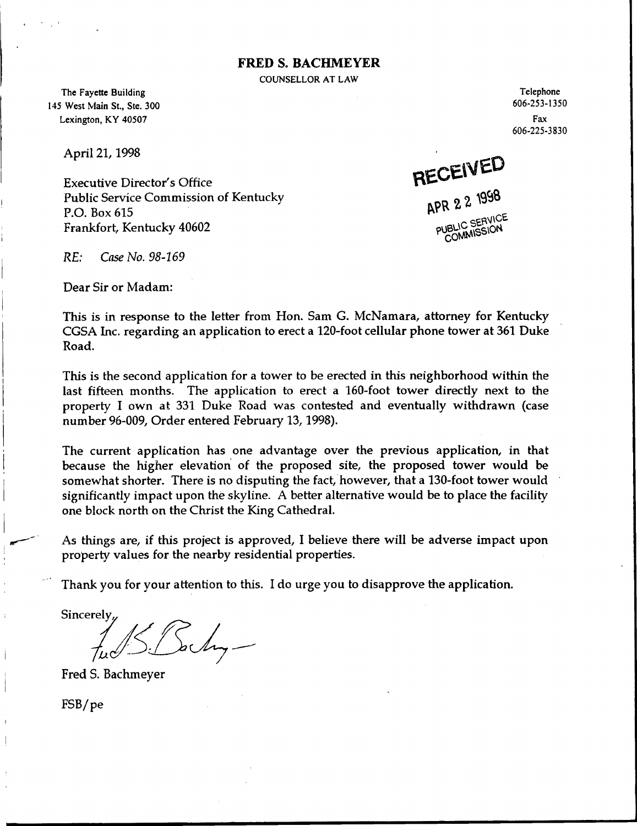#### FRED S. BACHMEYKR

COUNSELLOR AT LAW

The Fayette Building 145 West Main St., Ste, 300 Lexington, KY 40507

April 21, 1998

Executive Director's Office Public Service Commission of Kentucky P.O. Box 615 Frankfort, Kentucky 40602

Telephone 606-253-1350 Fax 606-225-3830

RECEIVED

APR 2 2 1998

C SERVICE COMMISSION

RE: Case No. 98-169

Dear Sir or Madam:

This is in response to the letter from Hon. Sam G. McNamara, attorney for Kentucky CGSA Inc. regarding an application to erect a 120-foot cellular phone tower at 361 Duke Road.

This is the second application for a tower to be erected in this neighborhood within the last fifteen months. The application to erect a 160-foot tower directly next to the property I own at 331 Duke Road was contested and eventually withdrawn (case number 96-009, Order entered February 13, 1998).

The current application has one advantage over the previous application, in that because the higher elevation of the proposed site, the proposed tower would be somewhat shorter. There is no disputing the fact, however, that a 130-foot tower would significantly impact upon the skyline. A better alternative would be to place the facility one block north on the Christ the King Cathedral.

As things are, if this project is approved, I believe there will be adverse impact upon property values for the nearby residential properties.

Thank you for your attention to this. I do urge you to disapprove the application.

Sincerely<u>,</u>

Fred S. Bachmeyer

FSBype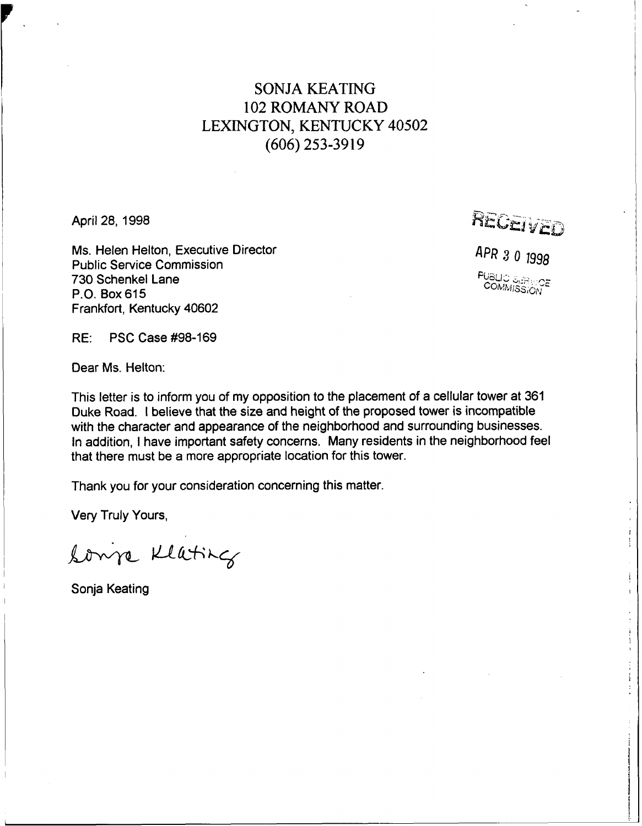### SONJA KEATING 102 ROMANY ROAD LEXINGTON, KENTUCKY 40502 (606) 253-3919

April 28, 1998

Ms. Helen Helton, Executive Director Public Service Commission 730 Schenkel Lane P.O. Box 615 Frankfort, Kentucky 40602

 $R$ <sub>EGET</sub>  $\sqrt{2}$ 

APR 3 0 1998 r<br>Ca COMMISSION

RE: PSC Case #98-169

Dear Ms. Helton:

This letter is to inform you of my opposition to the placement of a cellular tower at 361 Duke Road. <sup>I</sup> believe that the size and height of the proposed tower is incompatible with the character and appearance of the neighborhood and surrounding businesses. In addition, <sup>I</sup> have important safety concerns. Many residents in the neighborhood feel that there must be a more appropriate location for this tower.

Thank you for your consideration concerning this matter.

Very Truly Yours,

Lonja Klating

Sonja Keating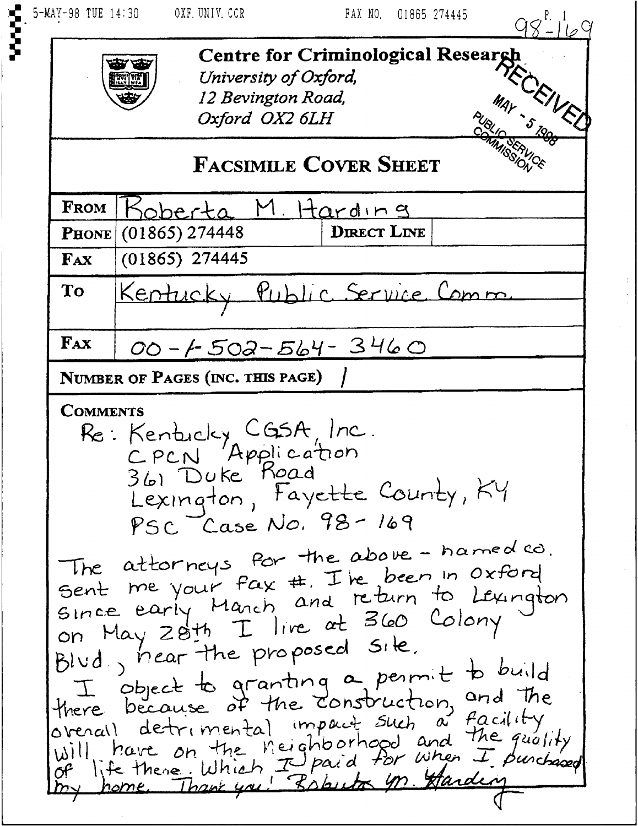